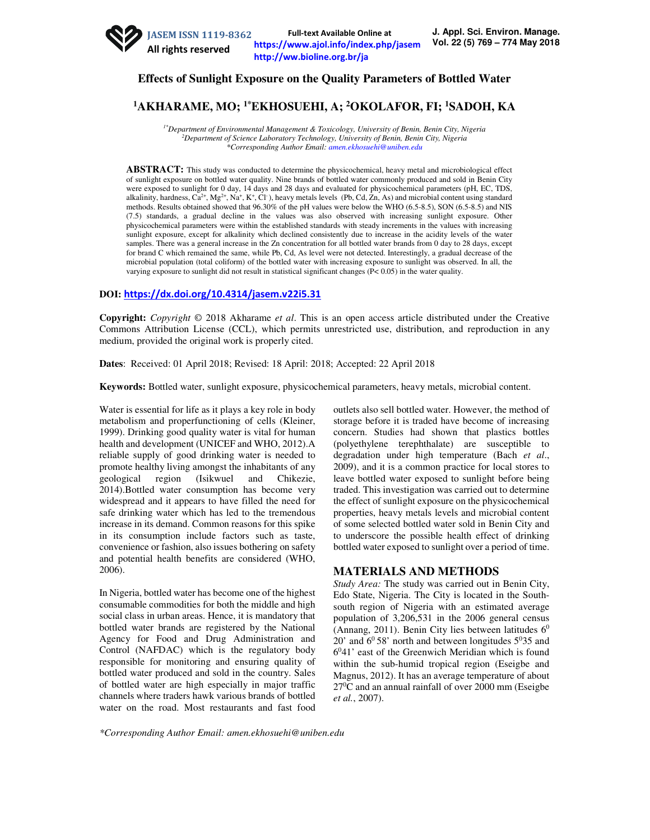

# **Effects of Sunlight Exposure on the Quality Parameters of Bottled Water**

# **<sup>1</sup>AKHARAME, MO; 1\*EKHOSUEHI, A; <sup>2</sup>OKOLAFOR, FI; <sup>1</sup>SADOH, KA**

*1\*Department of Environmental Management & Toxicology, University of Benin, Benin City, Nigeria <sup>2</sup>Department of Science Laboratory Technology, University of Benin, Benin City, Nigeria \*Corresponding Author Email: amen.ekhosuehi@uniben.edu*

ABSTRACT: This study was conducted to determine the physicochemical, heavy metal and microbiological effect of sunlight exposure on bottled water quality. Nine brands of bottled water commonly produced and sold in Benin City were exposed to sunlight for 0 day, 14 days and 28 days and evaluated for physicochemical parameters (pH, EC, TDS, alkalinity, hardness,  $Ca^{2+}$ ,  $Mg^{2+}$ ,  $Na^+$ ,  $K^+$ ,  $Cl^-$ ), heavy metals levels (Pb, Cd, Zn, As) and microbial content using standard methods. Results obtained showed that 96.30% of the pH values were below the WHO (6.5-8.5), SON (6.5-8.5) and NIS (7.5) standards, a gradual decline in the values was also observed with increasing sunlight exposure. Other physicochemical parameters were within the established standards with steady increments in the values with increasing sunlight exposure, except for alkalinity which declined consistently due to increase in the acidity levels of the water samples. There was a general increase in the Zn concentration for all bottled water brands from 0 day to 28 days, except for brand C which remained the same, while Pb, Cd, As level were not detected. Interestingly, a gradual decrease of the microbial population (total coliform) of the bottled water with increasing exposure to sunlight was observed. In all, the varying exposure to sunlight did not result in statistical significant changes (P< 0.05) in the water quality.

### **DOI: https://dx.doi.org/10.4314/jasem.v22i5.31**

**Copyright:** *Copyright* © 2018 Akharame *et al*. This is an open access article distributed under the Creative Commons Attribution License (CCL), which permits unrestricted use, distribution, and reproduction in any medium, provided the original work is properly cited.

**Dates**: Received: 01 April 2018; Revised: 18 April: 2018; Accepted: 22 April 2018

**Keywords:** Bottled water, sunlight exposure, physicochemical parameters, heavy metals, microbial content.

Water is essential for life as it plays a key role in body metabolism and properfunctioning of cells (Kleiner, 1999). Drinking good quality water is vital for human health and development (UNICEF and WHO, 2012).A reliable supply of good drinking water is needed to promote healthy living amongst the inhabitants of any geological region (Isikwuel and Chikezie, 2014).Bottled water consumption has become very widespread and it appears to have filled the need for safe drinking water which has led to the tremendous increase in its demand. Common reasons for this spike in its consumption include factors such as taste, convenience or fashion, also issues bothering on safety and potential health benefits are considered (WHO, 2006).

In Nigeria, bottled water has become one of the highest consumable commodities for both the middle and high social class in urban areas. Hence, it is mandatory that bottled water brands are registered by the National Agency for Food and Drug Administration and Control (NAFDAC) which is the regulatory body responsible for monitoring and ensuring quality of bottled water produced and sold in the country. Sales of bottled water are high especially in major traffic channels where traders hawk various brands of bottled water on the road. Most restaurants and fast food

outlets also sell bottled water. However, the method of storage before it is traded have become of increasing concern. Studies had shown that plastics bottles (polyethylene terephthalate) are susceptible to degradation under high temperature (Bach *et al*., 2009), and it is a common practice for local stores to leave bottled water exposed to sunlight before being traded. This investigation was carried out to determine the effect of sunlight exposure on the physicochemical properties, heavy metals levels and microbial content of some selected bottled water sold in Benin City and to underscore the possible health effect of drinking bottled water exposed to sunlight over a period of time.

## **MATERIALS AND METHODS**

*Study Area:* The study was carried out in Benin City, Edo State, Nigeria. The City is located in the Southsouth region of Nigeria with an estimated average population of 3,206,531 in the 2006 general census (Annang, 2011). Benin City lies between latitudes  $6<sup>0</sup>$  $20'$  and  $60'58'$  north and between longitudes  $50'35$  and 6 <sup>0</sup>41' east of the Greenwich Meridian which is found within the sub-humid tropical region (Eseigbe and Magnus, 2012). It has an average temperature of about  $27^{\circ}$ C and an annual rainfall of over 2000 mm (Eseigbe *et al.*, 2007).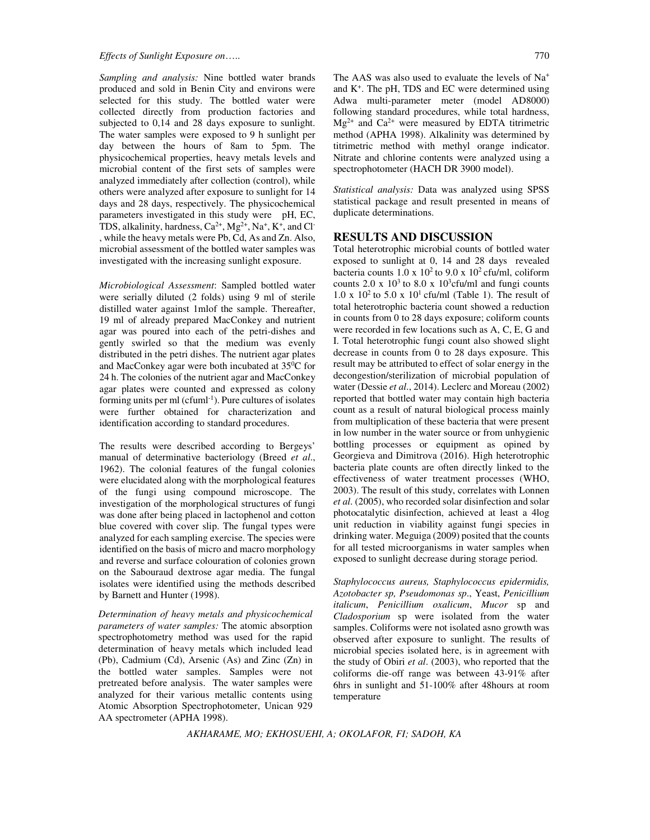*Sampling and analysis:* Nine bottled water brands produced and sold in Benin City and environs were selected for this study. The bottled water were collected directly from production factories and subjected to 0,14 and 28 days exposure to sunlight. The water samples were exposed to 9 h sunlight per day between the hours of 8am to 5pm. The physicochemical properties, heavy metals levels and microbial content of the first sets of samples were analyzed immediately after collection (control), while others were analyzed after exposure to sunlight for 14 days and 28 days, respectively. The physicochemical parameters investigated in this study were pH, EC, TDS, alkalinity, hardness,  $Ca^{2+}$ ,  $Mg^{2+}$ ,  $Na^{+}$ ,  $K^{+}$ , and Cl<sup>-</sup> , while the heavy metals were Pb, Cd, As and Zn. Also, microbial assessment of the bottled water samples was investigated with the increasing sunlight exposure.

*Microbiological Assessment*: Sampled bottled water were serially diluted (2 folds) using 9 ml of sterile distilled water against 1mlof the sample. Thereafter, 19 ml of already prepared MacConkey and nutrient agar was poured into each of the petri-dishes and gently swirled so that the medium was evenly distributed in the petri dishes. The nutrient agar plates and MacConkey agar were both incubated at 35<sup>0</sup>C for 24 h. The colonies of the nutrient agar and MacConkey agar plates were counted and expressed as colony forming units per ml (cfuml<sup>-1</sup>). Pure cultures of isolates were further obtained for characterization and identification according to standard procedures.

The results were described according to Bergeys' manual of determinative bacteriology (Breed *et al*., 1962). The colonial features of the fungal colonies were elucidated along with the morphological features of the fungi using compound microscope. The investigation of the morphological structures of fungi was done after being placed in lactophenol and cotton blue covered with cover slip. The fungal types were analyzed for each sampling exercise. The species were identified on the basis of micro and macro morphology and reverse and surface colouration of colonies grown on the Sabouraud dextrose agar media. The fungal isolates were identified using the methods described by Barnett and Hunter (1998).

*Determination of heavy metals and physicochemical parameters of water samples:* The atomic absorption spectrophotometry method was used for the rapid determination of heavy metals which included lead (Pb), Cadmium (Cd), Arsenic (As) and Zinc (Zn) in the bottled water samples. Samples were not pretreated before analysis. The water samples were analyzed for their various metallic contents using Atomic Absorption Spectrophotometer, Unican 929 AA spectrometer (APHA 1998).

The AAS was also used to evaluate the levels of Na<sup>+</sup> and K<sup>+</sup> . The pH, TDS and EC were determined using Adwa multi-parameter meter (model AD8000) following standard procedures, while total hardness,  $Mg^{2+}$  and  $Ca^{2+}$  were measured by EDTA titrimetric method (APHA 1998). Alkalinity was determined by titrimetric method with methyl orange indicator. Nitrate and chlorine contents were analyzed using a spectrophotometer (HACH DR 3900 model).

*Statistical analysis:* Data was analyzed using SPSS statistical package and result presented in means of duplicate determinations.

#### **RESULTS AND DISCUSSION**

Total heterotrophic microbial counts of bottled water exposed to sunlight at 0, 14 and 28 days revealed bacteria counts  $1.0 \times 10^2$  to  $9.0 \times 10^2$  cfu/ml, coliform counts 2.0 x  $10^3$  to 8.0 x  $10^3$ cfu/ml and fungi counts  $1.0 \times 10^2$  to  $5.0 \times 10^1$  cfu/ml (Table 1). The result of total heterotrophic bacteria count showed a reduction in counts from 0 to 28 days exposure; coliform counts were recorded in few locations such as A, C, E, G and I. Total heterotrophic fungi count also showed slight decrease in counts from 0 to 28 days exposure. This result may be attributed to effect of solar energy in the decongestion/sterilization of microbial population of water (Dessie *et al*., 2014). Leclerc and Moreau (2002) reported that bottled water may contain high bacteria count as a result of natural biological process mainly from multiplication of these bacteria that were present in low number in the water source or from unhygienic bottling processes or equipment as opined by Georgieva and Dimitrova (2016). High heterotrophic bacteria plate counts are often directly linked to the effectiveness of water treatment processes (WHO, 2003). The result of this study, correlates with Lonnen *et al*. (2005), who recorded solar disinfection and solar photocatalytic disinfection, achieved at least a 4log unit reduction in viability against fungi species in drinking water. Meguiga (2009) posited that the counts for all tested microorganisms in water samples when exposed to sunlight decrease during storage period.

*Staphylococcus aureus, Staphylococcus epidermidis, Azotobacter sp, Pseudomonas sp*., Yeast, *Penicillium italicum*, *Penicillium oxalicum*, *Mucor* sp and *Cladosporium* sp were isolated from the water samples. Coliforms were not isolated asno growth was observed after exposure to sunlight. The results of microbial species isolated here, is in agreement with the study of Obiri *et al*. (2003), who reported that the coliforms die-off range was between 43-91% after 6hrs in sunlight and 51-100% after 48hours at room temperature

*AKHARAME, MO; EKHOSUEHI, A; OKOLAFOR, FI; SADOH, KA*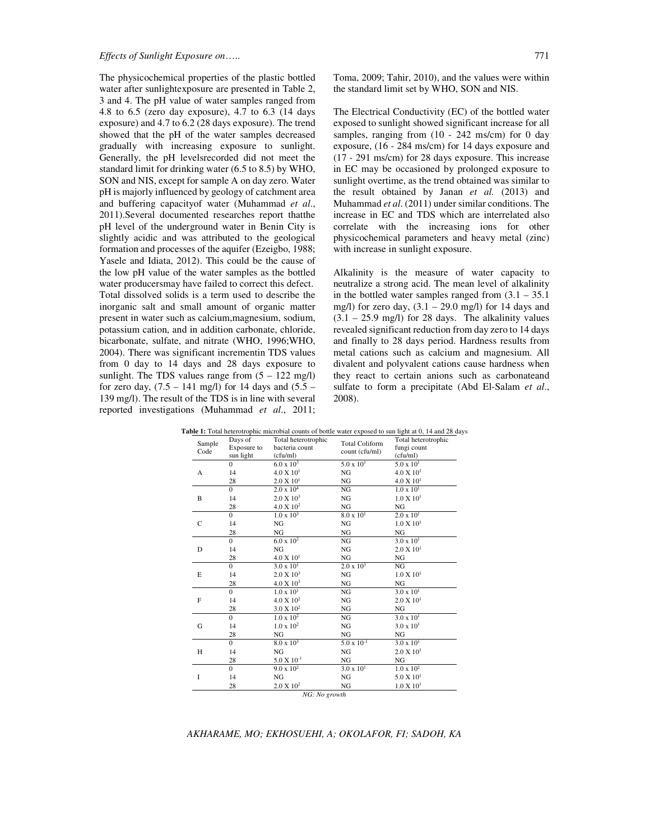The physicochemical properties of the plastic bottled water after sunlightexposure are presented in Table 2, 3 and 4. The pH value of water samples ranged from 4.8 to 6.5 (zero day exposure), 4.7 to 6.3 (14 days exposure) and 4.7 to 6.2 (28 days exposure). The trend showed that the pH of the water samples decreased gradually with increasing exposure to sunlight. Generally, the pH levelsrecorded did not meet the standard limit for drinking water (6.5 to 8.5) by WHO, SON and NIS, except for sample A on day zero. Water pH is majorly influenced by geology of catchment area and buffering capacityof water (Muhammad *et al*., 2011).Several documented researches report thatthe pH level of the underground water in Benin City is slightly acidic and was attributed to the geological formation and processes of the aquifer (Ezeigbo, 1988; Yasele and Idiata, 2012). This could be the cause of the low pH value of the water samples as the bottled water producersmay have failed to correct this defect. Total dissolved solids is a term used to describe the inorganic salt and small amount of organic matter present in water such as calcium,magnesium, sodium, potassium cation, and in addition carbonate, chloride, bicarbonate, sulfate, and nitrate (WHO, 1996;WHO, 2004). There was significant incrementin TDS values from 0 day to 14 days and 28 days exposure to sunlight. The TDS values range from  $(5 - 122 \text{ mg/l})$ for zero day,  $(7.5 - 141 \text{ mg/l})$  for 14 days and  $(5.5 -$ 139 mg/l). The result of the TDS is in line with several reported investigations (Muhammad *et al*., 2011;

Toma, 2009; Tahir, 2010), and the values were within the standard limit set by WHO, SON and NIS.

The Electrical Conductivity (EC) of the bottled water exposed to sunlight showed significant increase for all samples, ranging from  $(10 - 242 \text{ ms/cm})$  for 0 day exposure, (16 - 284 ms/cm) for 14 days exposure and (17 - 291 ms/cm) for 28 days exposure. This increase in EC may be occasioned by prolonged exposure to sunlight overtime, as the trend obtained was similar to the result obtained by Janan *et al.* (2013) and Muhammad *et al*. (2011) under similar conditions. The increase in EC and TDS which are interrelated also correlate with the increasing ions for other physicochemical parameters and heavy metal (zinc) with increase in sunlight exposure.

Alkalinity is the measure of water capacity to neutralize a strong acid. The mean level of alkalinity in the bottled water samples ranged from  $(3.1 - 35.1)$ mg/l) for zero day,  $(3.1 - 29.0 \text{ mg/l})$  for 14 days and  $(3.1 - 25.9 \text{ mg/l})$  for 28 days. The alkalinity values revealed significant reduction from day zero to 14 days and finally to 28 days period. Hardness results from metal cations such as calcium and magnesium. All divalent and polyvalent cations cause hardness when they react to certain anions such as carbonateand sulfate to form a precipitate (Abd El-Salam *et al*., 2008).

| Sample       | Days of        | Total heterotrophic   | <b>Total Coliform</b> | Total heterotrophic   |
|--------------|----------------|-----------------------|-----------------------|-----------------------|
| Code         | Exposure to    | bacteria count        | count (cfu/ml)        | fungi count           |
|              | sun light      | (cfu/ml)              |                       | (cfu/ml)              |
|              | $\Omega$       | $6.0 \times 10^{3}$   | $5.0 \times 10^{1}$   | $5.0 \times 10^{1}$   |
| A            | 14             | 4.0 X 10 <sup>1</sup> | NG                    | $4.0 \times 10^{1}$   |
|              | 28             | $2.0 X 10^{1}$        | NG                    | $4.0 \times 10^{1}$   |
|              | $\Omega$       | $2.0 \times 10^4$     | NG                    | $1.0 \times 10^{1}$   |
| B            | 14             | $2.0 \times 10^3$     | NG                    | $1.0 \times 10^{1}$   |
|              | 28             | 4.0 X 10 <sup>2</sup> | NG                    | NG                    |
|              | $\overline{0}$ | $1.0 \times 10^3$     | $8.0 \times 10^{1}$   | $2.0 \times 10^{1}$   |
| $\mathsf{C}$ | 14             | NG                    | NG                    | $1.0 \times 10^{1}$   |
|              | 28             | NG                    | NG                    | NG                    |
|              | $\Omega$       | $6.0 \times 10^{2}$   | NG                    | $3.0 \times 10^{1}$   |
| D            | 14             | NG                    | NG                    | 2.0 X 10 <sup>1</sup> |
|              | 28             | $4.0 \times 10^{1}$   | NG                    | NG                    |
|              | $\overline{0}$ | $3.0 \times 10^{1}$   | $2.0 \times 10^3$     | NG                    |
| E            | 14             | $2.0 \times 10^3$     | NG                    | $1.0 \times 10^{1}$   |
|              | 28             | $4.0 \times 10^3$     | NG                    | NG                    |
|              | $\Omega$       | $1.0 \times 10^{1}$   | NG                    | $3.0 \times 10^{1}$   |
| F            | 14             | $4.0 \times 10^{2}$   | NG                    | 2.0 X 10 <sup>1</sup> |
|              | 28             | 3.0 X 10 <sup>2</sup> | NG                    | NG                    |
|              | $\overline{0}$ | $1.0 \times 10^2$     | NG                    | $3.0 \times 10^{1}$   |
| G            | 14             | $1.0 \times 10^{2}$   | NG                    | $3.0 \times 10^{1}$   |
|              | 28             | NG                    | NG                    | NG                    |
|              | $\Omega$       | $8.0 \times 10^3$     | $5.0 \times 10^{-1}$  | $3.0 \times 10^{1}$   |
| Н            | 14             | NG                    | NG                    | 2.0 X 10 <sup>1</sup> |
|              | 28             | $5.0 \times 10^{-1}$  | NG                    | NG                    |
|              | $\Omega$       | $9.0 \times 10^{2}$   | $3.0 \times 10^{1}$   | $1.0 \times 10^{2}$   |
| I            | 14             | NG                    | NG                    | $5.0 \times 10^{1}$   |
|              | 28             | 2.0 X 10 <sup>2</sup> | NG                    | $1.0 \times 10^{1}$   |
|              |                | NG: No growth         |                       |                       |

Table 1: Total heterotrophic microbial counts of bottle water exposed to sun light at 0, 14 and 28 days

*AKHARAME, MO; EKHOSUEHI, A; OKOLAFOR, FI; SADOH, KA*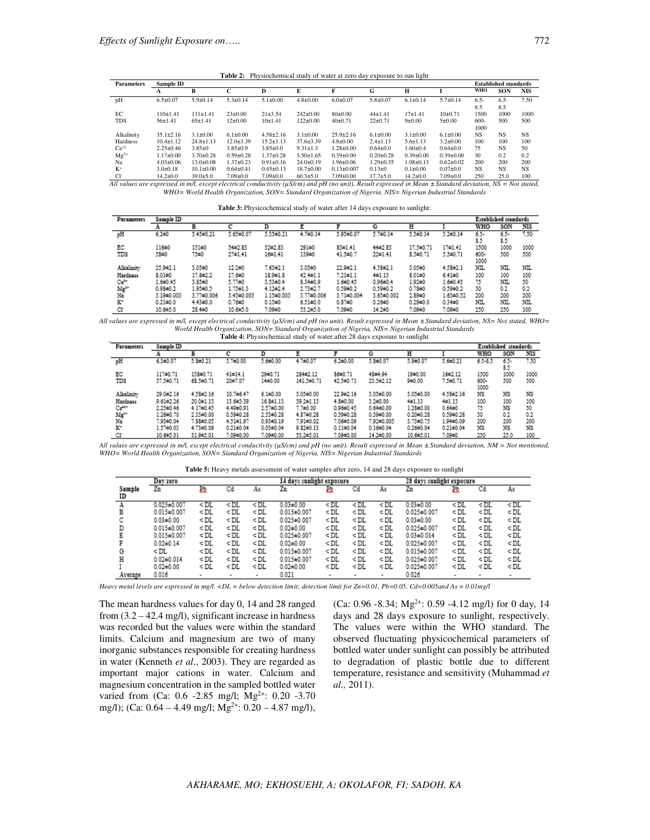**Table 2:** Physiochemical study of water at zero day exposure to sun light

| <b>Parameters</b> | Sample ID       |                 |                 |                 |                 |                  |                 |                 |                 |                | <b>Established standards</b> |                |
|-------------------|-----------------|-----------------|-----------------|-----------------|-----------------|------------------|-----------------|-----------------|-----------------|----------------|------------------------------|----------------|
|                   | A               | B               | ⌒               | D               | E               | F                | G               | н               |                 | WHO            | <b>SON</b>                   | <b>NIS</b>     |
| pH                | $6.5 \pm 0.07$  | $5.9 \pm 0.14$  | $5.3 \pm 0.14$  | $5.1 \pm 0.00$  | $4.8 \pm 0.00$  | $6.0 \pm 0.07$   | $5.8 \pm 0.07$  | $6.1 \pm 0.14$  | $5.7 + 0.14$    | $6.5 -$<br>8.5 | $6.5 -$<br>8.5               | 7.50           |
| EC                | $110+1.41$      | $131 \pm 1.41$  | $23 \pm 0.00$   | $21 + 3.54$     | $242 \pm 0.00$  | $80+0.00$        | $44{\pm}1.41$   | $17 + 1.41$     | $10+0.71$       | 1500           | 1000                         | 1000           |
| <b>TDS</b>        | $56 \pm 1.41$   | $65 \pm 1.41$   | $12\pm0.00$     | $10+1.41$       | $122 \pm 0.00$  | $40\pm0.71$      | $22 + 0.71$     | $9 + 0.00$      | $5 + 0.00$      | $600-$         | 500                          | 500            |
|                   |                 |                 |                 |                 |                 |                  |                 |                 |                 | 1000           |                              |                |
| Alkalinity        | $35.1 \pm 2.16$ | $3.1 \pm 0.00$  | $6.1 \pm 0.00$  | $4.58 \pm 2.16$ | $3.1 \pm 0.00$  | $25.9 \pm 2.16$  | $6.1 \pm 0.00$  | $3.1 \pm 0.00$  | $6.1 \pm 0.00$  | <b>NS</b>      | NS <sub></sub>               | NS <sub></sub> |
| Hardness          | $10.4 \pm 1.12$ | $24.8 \pm 1.13$ | $12.0 + 3.39$   | $15.2 \pm 1.13$ | $37.6 \pm 3.39$ | $4.8 \pm 0.00$   | $2.4 \pm 1.13$  | $5.6 \pm 1.13$  | $3.2 \pm 0.00$  | 100            | 100                          | 100            |
| $Ca^{+2}$         | $2.25 \pm 0.46$ | $3.85+0$        | $3.85 \pm 0.9$  | $3.85 \pm 0.0$  | $9.31 \pm 1.3$  | $1.28 \pm 0.00$  | $0.64 \pm 0.0$  | $1.60 + 0.4$    | $0.64 \pm 0.0$  | 75             | NS <sub></sub>               | 50             |
| $Mg^{2+}$         | $1.17 + 0.00$   | $3.70 \pm 0.28$ | $0.59 + 0.28$   | $1.37 + 0.28$   | $3.50 \pm 1.65$ | $0.39 \pm 0.00$  | $0.20 \pm 0.28$ | $0.39 + 0.00$   | $0.39 + 0.00$   | 30             | 0.2                          | 0.2            |
| Na                | $4.03 \pm 0.06$ | $13.0 + 0.08$   | $1.37 \pm 0.23$ | $0.91 \pm 0.16$ | $24.0 \pm 0.19$ | 1.96±0.06        | $1.29 \pm 0.35$ | $1.08 \pm 0.13$ | $0.62{\pm}0.02$ | 200            | 200                          | 200            |
| $K^+$             | $3.0 + 0.18$    | $10.1 \pm 0.00$ | $0.64 + 0.41$   | $0.45 \pm 0.13$ | $18.7 \pm 0.00$ | $0.13 \pm 0.007$ | $0.13 \pm 0$    | $0.1 \pm 0.00$  | $0.07 + 0.0$    | <b>NS</b>      | <b>NS</b>                    | <b>NS</b>      |
| $Cl+$             | $14.2{\pm}0.0$  | $39.0 \pm 5.0$  | $7.09 \pm 0.0$  | $7.09 \pm 0.0$  | $60.3 + 5.0$    | $7.09 \pm 0.00$  | $17.7 + 5.0$    | $14.2 \pm 0.0$  | $7.09 \pm 0.0$  | 250            | 25.0                         | 100            |

*All values are expressed in m/l, except electrical conductivity (µS/cm) and pH (no unit). Result expressed in Mean ± Standard deviation, NS = Not stated, WHO= World Health Organization, SON= Standard Organization of Nigeria, NIS= Nigerian Industrial Standards* 

|  | Table 3: Physicochemical study of water after 14 days exposure to sunlight: |
|--|-----------------------------------------------------------------------------|
|  |                                                                             |

| Parameter1 | Sample ID    |                |                |                  |                |                |               |                |                | Established standards |           |      |  |
|------------|--------------|----------------|----------------|------------------|----------------|----------------|---------------|----------------|----------------|-----------------------|-----------|------|--|
|            |              | в              |                | D                |                |                | G             | н              |                | WHO                   | SON       | NIS  |  |
| pH         | $6.2 + 0$    | 5.45±0.21      | 5.65±0.07      | 5.35±0.21        | $4.7 + 0.14$   | 5.95±0.07      | 5.7±0.14      | $5.5 \pm 0.14$ | $5.2 \pm 0.14$ | 65-<br>8.5            | 65-<br>85 | 7.50 |  |
| EC         | 116±0        | 151±0          | 54±2.83        | 32#2.83          | 291±0          | $33 + 1.41$    | 44±2.83       | 17.5±0.71      | 17±1.41        | 1500                  | 1000      | 1000 |  |
| TDS        | 58±0         | 75±0           | $27 + 1.41$    | 16±1.41          | 139±0          | 41.5±0.7       | $22 \pm 1.41$ | $3.5 + 0.71$   | 5.5±0.71       | 600-<br>1000          | 500       | 500  |  |
| Alkalinity | 25.9 ± 2.1   | 3.05±0         | $12.2 + 0$     | $7.63 + 2.1$     | 3.05±0         | 22.9 ± 2.1     | $4.58 + 2.1$  | 3.05±0         | $4.53 + 2.1$   | NIL                   | NIL       | NIL  |  |
| Hardness   | $8.01 + 0$   | 17.6±2.2       | 17.6±0         | $18.9 + 1.8$     | $42.4 \pm 1.1$ | $7.21 \pm 1.1$ | 4±1.13        | $3.01 + 0$     | $6.41 \pm 0$   | 100                   | 100       | 100  |  |
| Ca*        | 1.6±0.45     | 3.85±0         | 5.77±0         | 3.53±0.4         | $8.34 \pm 0.9$ | $1.6 + 0.45$   | $0.96 + 0.4$  | $1.92 + 0$     | $1.6 + 0.45$   | 75                    | NIL       | 50   |  |
| Mg"<br>Na  | $0.98 + 0.2$ | 1.95±0.5       | $1.75 \pm 1.3$ | $4.12 \pm 2.4$   | 2.73±2.7       | $0.59 + 0.2$   | $0.59 + 0.2$  | $0.73 + 0$     | $0.59 + 0.2$   | 30                    | 0.2       | 0.2  |  |
|            | 3.19±0.003   | 3.77±0.006     | 3.45±0.003     | $1.15 \pm 0.003$ | 3.77±0.006     | 3.71±0.004     | 3.65±0.002    | $2.89 + 0$     | $1.63 + 0.52$  | 200                   | 200       | 200  |  |
| к          | $0.21 + 0.0$ | $4.43 \pm 0.0$ | $0.76 + 0$     | $0.15 + 0$       | $6.51 \pm 0.0$ | $0.37 + 0$     | $0.26 + 0$    | $0.29 + 0.0$   | $0.34 + 0$     | NIL                   | NIL       | NIL  |  |
| Cŀ         | 10.6±5.0     | $28.4 + 0$     | 10.6±5.0       | 7.09±0           | 53.2±5.0       | 7.0940         | $14.2 \pm 0$  | 7.09±0         | 7.09±0         | 250                   | 250       | 100  |  |

*All values are expressed in m/l, except electrical conductivity (µS/cm) and pH (no unit). Result expressed in Mean ± Standard deviation, NS= Not stated, WHO= World Health Organization, SON= Standard Organization of Nigeria, NIS= Nigerian Industrial Standards*  **Table 4:** Physiochemical study of water after 28 days exposure to sunlight

| Parameters        | Sample ID       |               |                 |                |                 |                 |                |               |                |              | Established standards |      |
|-------------------|-----------------|---------------|-----------------|----------------|-----------------|-----------------|----------------|---------------|----------------|--------------|-----------------------|------|
|                   |                 | в             | c               | D              |                 |                 | G              | н             |                | WHO          | SON                   | NIS  |
| pH                | $6.3 + 0.07$    | $5.8 + 0.21$  | $5.7 + 0.00$    | $5.6 \pm 0.00$ | $4.7 \pm 0.07$  | $6.2 \pm 0.00$  | $5.8 + 0.07$   | 5.9 ± 0.07    | $5.6 \pm 0.21$ | $6.5 - 8.5$  | 6.5-<br>85            | 7.50 |
| EC                | 117±0.71        | 138±0.71      | $41 \pm 14.1$   | $29 + 0.71$    | 284±2.12        | 36±0.71         | 48±4.94        | 19±0.00       | 16±2.12        | 1500         | 1000                  | 1000 |
| TDS               | 57.5±0.71       | 68.5±0.71     | 20±7.07         | 14±0.00        | 141.5±0.71      | 42.5±0.71       | 23.5±2.12      | $9 + 0.00$    | $7.5 + 0.71$   | 600-<br>1000 | 500                   | 500  |
| Alkalinity        | 29.0±2.16       | $4.58 + 2.16$ | 10.7±6.47       | $6.1 \pm 0.00$ | 3.05±0.00       | 22.9±2.16       | 3.05±0.00      | 3.05±0.00     | 4.58±2.16      | NS           | NS                    | NS   |
| Hardness          | $9.61 \pm 2.26$ | 20.0±1.13     | 13.643.39       | 16.3±1.13      | 39.2±1.13       | $4.8 + 0.00$    | $3.2 \pm 0.00$ | 4±1.13        | 4±1.13         | 100          | 100                   | 100  |
| Ca <sup>so+</sup> | $2.25 \pm 0.46$ | 4.17±0.45     | 4.49±0.91       | 2.57±0.00      | $7.7 + 0.00$    | $0.96 + 0.45$   | $0.64 + 0.00$  | $1.28 + 0.00$ | $0.64 + 0$     | 75           | NS                    | 50   |
| Mg*               | 1.26±0.70       | 2.33±0.00     | $0.59 + 0.28$   | 2.53±0.28      | 4.87±0.28       | $0.59 + 0.28$   | $0.39 + 0.00$  | $0.20 + 0.28$ | $0.59 + 0.28$  | 30           | 0.2                   | 0.2  |
| Na                | 7.93±0.04       | 7.88±0.05     | $4.51 \pm 1.97$ | $0.93 + 0.19$  | 7.91±0.02       | 7.06±0.09       | 7.92±0.005     | 3.73±0.75     | 1.94±0.09      | 200          | 200                   | 200  |
| к٠                | 1.57±0.03       | 4.73±0.09     | $0.21 \pm 0.04$ | $0.03 + 0.04$  | $9.82 \pm 0.13$ | $0.11 \pm 0.04$ | $0.16 + 0.04$  | $0.26 + 0.04$ | $0.21 + 0.04$  | NS           | NS                    | NS   |
| Cŀ                | 10.6±5.01       | 31.9±5.01     | 7.09±0.00       | 7.09±0.00      | 53.2±5.01       | 7.09±0.00       | 14.2±0.00      | 10.6±5.01     | $7.09 + 0$     | 250          | 25.0                  | 100  |

*All values are expressed in m/l, except electrical conductivity (µS/cm) and pH (no unit). Result expressed in Mean ± Standard deviation, NM = Not mentioned, WHO= World Health Organization, SON= Standard Organization of Nigeria, NIS= Nigerian Industrial Standards* 

| Dav zero     |                                    |                                                                                                                                                                                                                                                                                                                |                |                | 14 days sunlight exposure          |                |                |                                                                                                                          | 28 days sunlight exposure           |                                                                                                                    |                                             |                                  |
|--------------|------------------------------------|----------------------------------------------------------------------------------------------------------------------------------------------------------------------------------------------------------------------------------------------------------------------------------------------------------------|----------------|----------------|------------------------------------|----------------|----------------|--------------------------------------------------------------------------------------------------------------------------|-------------------------------------|--------------------------------------------------------------------------------------------------------------------|---------------------------------------------|----------------------------------|
| Sample<br>ID | Zn                                 | 敃                                                                                                                                                                                                                                                                                                              | Cd             | As             | Zn                                 | Рb             | Cd             | As                                                                                                                       | Zn                                  | Рb                                                                                                                 | Cd                                          | As                               |
| А<br>в       | $0.025 + 0.007$<br>$0.015 + 0.007$ | $<$ DL<br>< DL                                                                                                                                                                                                                                                                                                 | $<$ DL<br>< DL | $<$ DL<br>< DL | $0.03 + 0.00$<br>$0.015 + 0.007$   | $<$ DL<br>< DL | $<$ DL<br>< DL | $<$ DL<br>< DL                                                                                                           | $0.03 + 0.00$<br>$0.025 + 0.007$    | $<$ DL<br>≺ DL                                                                                                     | $<$ DL<br>< DL                              | CDL<br>< DL                      |
| С            | $0.03 + 0.00$                      | < DL                                                                                                                                                                                                                                                                                                           | < DL           | < DL           | $0.025 + 0.007$                    | < DL           | < DL           | < DL                                                                                                                     | $0.03 + 0.00$                       | <dl< td=""><td>&lt; DL</td><td><math>&lt;</math> DL</td></dl<>                                                     | < DL                                        | $<$ DL                           |
| D            | $0.015 + 0.007$<br>$0.015 + 0.007$ | $<$ DL<br>$<$ DL                                                                                                                                                                                                                                                                                               | < DL<br>< DL   | < DL<br>< DL   | $0.02 + 0.00$<br>$0.025 + 0.007$   | < DL<br>< DL   | < DL<br>< DL   | < DL<br>< DL                                                                                                             | $0.025 + 0.007$<br>$0.03 \pm 0.014$ | <dl<br><dl< td=""><td>&lt; DL<br/><math>&lt;</math> DL</td><td><dl<br><dl< td=""></dl<></dl<br></td></dl<></dl<br> | < DL<br>$<$ DL                              | <dl<br><dl< td=""></dl<></dl<br> |
|              | $0.02 + 0.14$                      | <dl< td=""><td>&lt; DL</td><td>&lt; DL</td><td><math>0.02 + 0.00</math></td><td>&lt; DL</td><td>&lt; DL</td><td><dl< td=""><td><math>0.025 + 0.007</math></td><td>&lt; DL</td><td><dl< td=""><td><dl< td=""></dl<></td></dl<></td></dl<></td></dl<>                                                            | < DL           | < DL           | $0.02 + 0.00$                      | < DL           | < DL           | <dl< td=""><td><math>0.025 + 0.007</math></td><td>&lt; DL</td><td><dl< td=""><td><dl< td=""></dl<></td></dl<></td></dl<> | $0.025 + 0.007$                     | < DL                                                                                                               | <dl< td=""><td><dl< td=""></dl<></td></dl<> | <dl< td=""></dl<>                |
| G<br>Н       | < DL<br>$0.02 \pm 0.014$           | < DL<br>$<$ DL                                                                                                                                                                                                                                                                                                 | < DL<br>$<$ DL | < DL<br>< DL   | $0.015 + 0.007$<br>$0.015 + 0.007$ | < DL<br>< DL   | < DL<br>$<$ DL | <dl<br><math>&lt;</math> DL</dl<br>                                                                                      | $0.015 + 0.007$<br>$0.025 + 0.007$  | <dl<br>&lt; DL</dl<br>                                                                                             | $<$ DL<br>$<$ DL                            | <dl<br><dl< td=""></dl<></dl<br> |
| Average      | $0.02 + 0.00$<br>0.016             | <dl< td=""><td>&lt; DL</td><td>&lt; DL<br/>۰</td><td><math>0.02 + 0.00</math><br/>0.021</td><td>&lt; DL</td><td><math>&lt;</math> DL</td><td>&lt; DL</td><td><math>0.025 + 0.007</math><br/>0.026</td><td><dl< td=""><td>&lt; DL<br/><math>\overline{\phantom{0}}</math></td><td>&lt; DL</td></dl<></td></dl<> | < DL           | < DL<br>۰      | $0.02 + 0.00$<br>0.021             | < DL           | $<$ DL         | < DL                                                                                                                     | $0.025 + 0.007$<br>0.026            | <dl< td=""><td>&lt; DL<br/><math>\overline{\phantom{0}}</math></td><td>&lt; DL</td></dl<>                          | < DL<br>$\overline{\phantom{0}}$            | < DL                             |

| Table 5: Heavy metals assessment of water samples after zero, 14 and 28 days exposure to sunlight |  |  |  |
|---------------------------------------------------------------------------------------------------|--|--|--|
|---------------------------------------------------------------------------------------------------|--|--|--|

*Heavy metal levels are expressed in mg/l. <DL = below detection limit; detection limit for Zn=0.01, Pb=0.05, Cd=0.005and As = 0.01mg/l* 

The mean hardness values for day 0, 14 and 28 ranged from  $(3.2 - 42.4 \text{ mg/l})$ , significant increase in hardness was recorded but the values were within the standard limits. Calcium and magnesium are two of many inorganic substances responsible for creating hardness in water (Kenneth *et al*., 2003). They are regarded as important major cations in water. Calcium and magnesium concentration in the sampled bottled water varied from (Ca: 0.6 -2.85 mg/l; Mg<sup>2+</sup>: 0.20 -3.70 mg/l); (Ca:  $0.64 - 4.49$  mg/l; Mg<sup>2+</sup>:  $0.20 - 4.87$  mg/l),

(Ca: 0.96 -8.34; Mg<sup>2+</sup>: 0.59 -4.12 mg/l) for 0 day, 14 days and 28 days exposure to sunlight, respectively. The values were within the WHO standard. The observed fluctuating physicochemical parameters of bottled water under sunlight can possibly be attributed to degradation of plastic bottle due to different temperature, resistance and sensitivity (Muhammad *et al.,* 2011).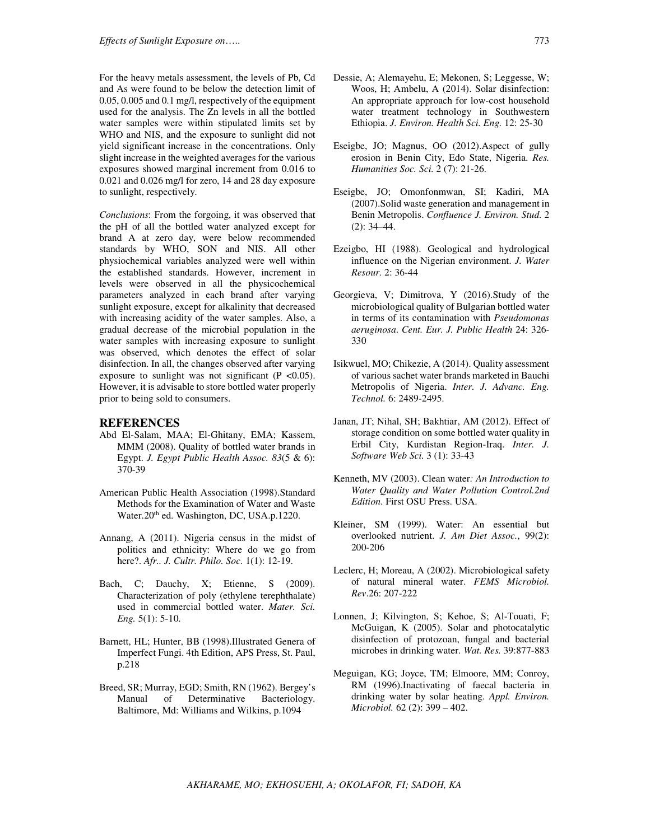For the heavy metals assessment, the levels of Pb, Cd and As were found to be below the detection limit of 0.05, 0.005 and 0.1 mg/l, respectively of the equipment used for the analysis. The Zn levels in all the bottled water samples were within stipulated limits set by WHO and NIS, and the exposure to sunlight did not yield significant increase in the concentrations. Only slight increase in the weighted averages for the various exposures showed marginal increment from 0.016 to 0.021 and 0.026 mg/l for zero, 14 and 28 day exposure to sunlight, respectively.

*Conclusions*: From the forgoing, it was observed that the pH of all the bottled water analyzed except for brand A at zero day, were below recommended standards by WHO, SON and NIS. All other physiochemical variables analyzed were well within the established standards. However, increment in levels were observed in all the physicochemical parameters analyzed in each brand after varying sunlight exposure, except for alkalinity that decreased with increasing acidity of the water samples. Also, a gradual decrease of the microbial population in the water samples with increasing exposure to sunlight was observed, which denotes the effect of solar disinfection. In all, the changes observed after varying exposure to sunlight was not significant  $(P \le 0.05)$ . However, it is advisable to store bottled water properly prior to being sold to consumers.

### **REFERENCES**

- Abd El-Salam, MAA; El-Ghitany, EMA; Kassem, MMM (2008). Quality of bottled water brands in Egypt. *J. Egypt Public Health Assoc. 83*(5 & 6): 370-39
- American Public Health Association (1998).Standard Methods for the Examination of Water and Waste Water.20<sup>th</sup> ed. Washington, DC, USA.p.1220.
- Annang, A (2011). Nigeria census in the midst of politics and ethnicity: Where do we go from here?. *Afr.. J. Cultr. Philo. Soc.* 1(1): 12-19.
- Bach, C; Dauchy, X; Etienne, S (2009). Characterization of poly (ethylene terephthalate) used in commercial bottled water. *Mater. Sci. Eng.* 5(1): 5-10.
- Barnett, HL; Hunter, BB (1998).Illustrated Genera of Imperfect Fungi. 4th Edition, APS Press, St. Paul, p.218
- Breed, SR; Murray, EGD; Smith, RN (1962). Bergey's Manual of Determinative Bacteriology. Baltimore, Md: Williams and Wilkins, p.1094
- Eseigbe, JO; Magnus, OO (2012).Aspect of gully erosion in Benin City, Edo State, Nigeria. *Res. Humanities Soc. Sci.* 2 (7): 21-26.
- Eseigbe, JO; Omonfonmwan, SI; Kadiri, MA (2007).Solid waste generation and management in Benin Metropolis. *Confluence J. Environ. Stud.* 2 (2): 34–44.
- Ezeigbo, HI (1988). Geological and hydrological influence on the Nigerian environment. *J. Water Resour.* 2: 36-44
- Georgieva, V; Dimitrova, Y (2016).Study of the microbiological quality of Bulgarian bottled water in terms of its contamination with *Pseudomonas aeruginosa*. *Cent. Eur. J. Public Health* 24: 326- 330
- Isikwuel, MO; Chikezie, A (2014). Quality assessment of various sachet water brands marketed in Bauchi Metropolis of Nigeria. *Inter. J. Advanc. Eng. Technol.* 6: 2489-2495.
- Janan, JT; Nihal, SH; Bakhtiar, AM (2012). Effect of storage condition on some bottled water quality in Erbil City, Kurdistan Region-Iraq. *Inter. J. Software Web Sci.* 3 (1): 33-43
- Kenneth, MV (2003). Clean water*: An Introduction to Water Quality and Water Pollution Control.2nd Edition*. First OSU Press. USA.
- Kleiner, SM (1999). Water: An essential but overlooked nutrient. *J. Am Diet Assoc.*, 99(2): 200-206
- Leclerc, H; Moreau, A (2002). Microbiological safety of natural mineral water. *FEMS Microbiol. Rev*.26: 207-222
- Lonnen, J; Kilvington, S; Kehoe, S; Al-Touati, F; McGuigan, K (2005). Solar and photocatalytic disinfection of protozoan, fungal and bacterial microbes in drinking water. *Wat. Res.* 39:877-883
- Meguigan, KG; Joyce, TM; Elmoore, MM; Conroy, RM (1996).Inactivating of faecal bacteria in drinking water by solar heating. *Appl. Environ. Microbiol.* 62 (2): 399 – 402.